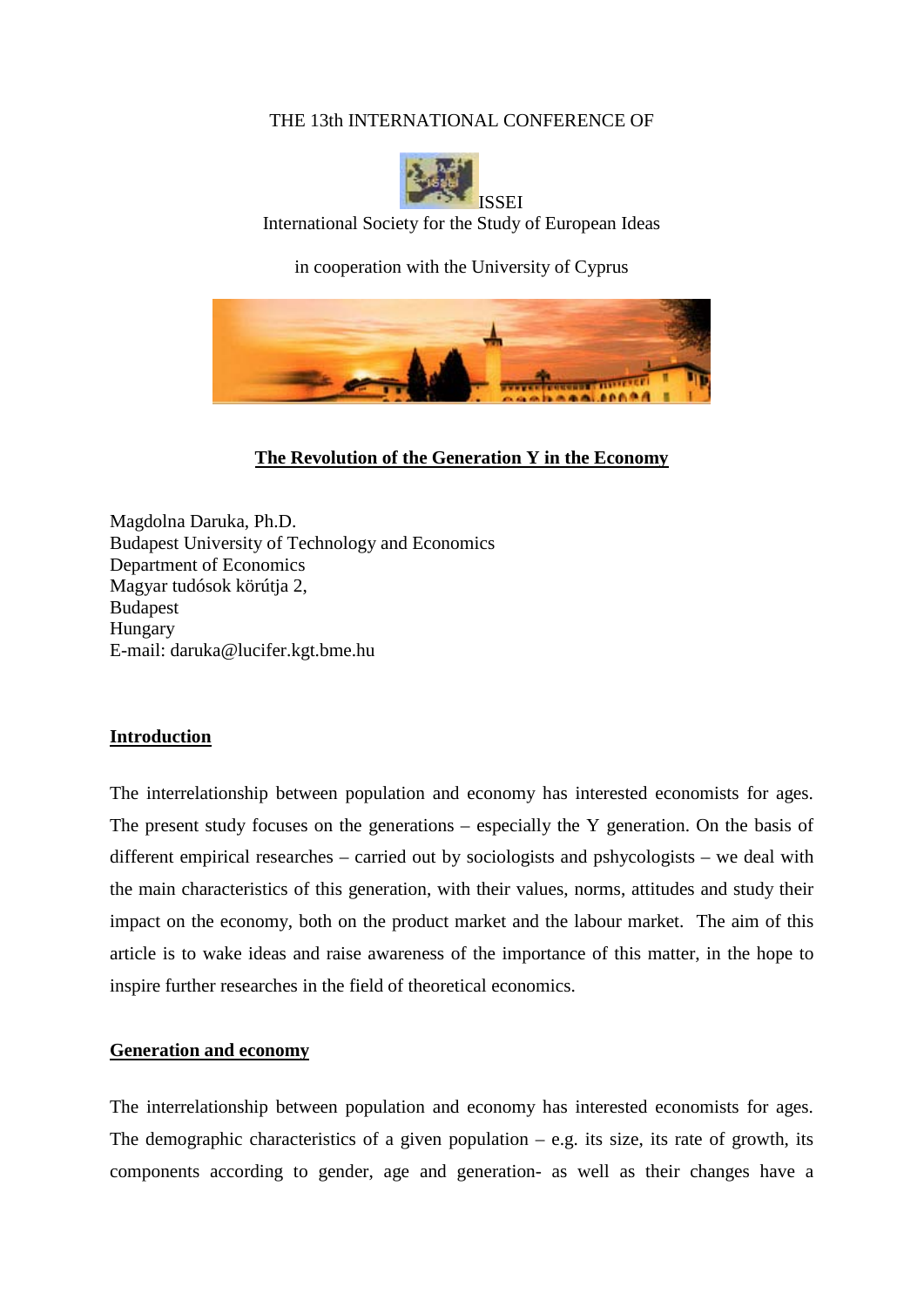## THE 13th INTERNATIONAL CONFERENCE OF



International Society for the Study of European Ideas

in cooperation with the University of Cyprus



**The Revolution of the Generation Y in the Economy**

Magdolna Daruka, Ph.D. Budapest University of Technology and Economics Department of Economics Magyar tudósok körútja 2, Budapest Hungary E-mail: daruka@lucifer.kgt.bme.hu

### **Introduction**

The interrelationship between population and economy has interested economists for ages. The present study focuses on the generations – especially the Y generation. On the basis of different empirical researches – carried out by sociologists and pshycologists – we deal with the main characteristics of this generation, with their values, norms, attitudes and study their impact on the economy, both on the product market and the labour market. The aim of this article is to wake ideas and raise awareness of the importance of this matter, in the hope to inspire further researches in the field of theoretical economics.

### **Generation and economy**

The interrelationship between population and economy has interested economists for ages. The demographic characteristics of a given population  $-$  e.g. its size, its rate of growth, its components according to gender, age and generation- as well as their changes have a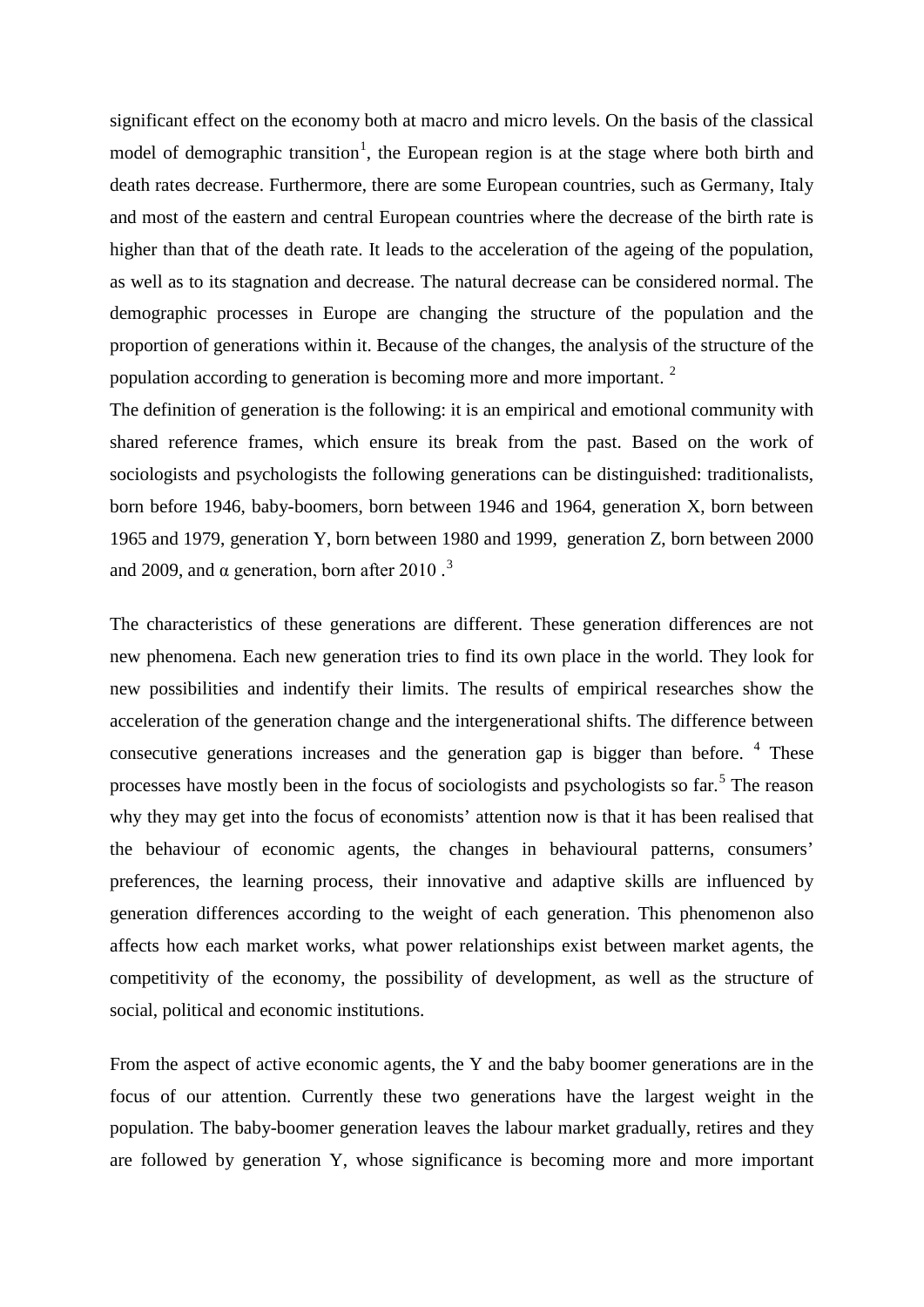significant effect on the economy both at macro and micro levels. On the basis of the classical model of demographic transition<sup>[1](#page-8-0)</sup>, the European region is at the stage where both birth and death rates decrease. Furthermore, there are some European countries, such as Germany, Italy and most of the eastern and central European countries where the decrease of the birth rate is higher than that of the death rate. It leads to the acceleration of the ageing of the population, as well as to its stagnation and decrease. The natural decrease can be considered normal. The demographic processes in Europe are changing the structure of the population and the proportion of generations within it. Because of the changes, the analysis of the structure of the population according to generation is becoming more and more important. <sup>[2](#page-8-1)</sup>

The definition of generation is the following: it is an empirical and emotional community with shared reference frames, which ensure its break from the past. Based on the work of sociologists and psychologists the following generations can be distinguished: traditionalists, born before 1946, baby-boomers, born between 1946 and 1964, generation X, born between 1965 and 1979, generation Y, born between 1980 and 1999, generation Z, born between 2000 and 2009, and  $\alpha$  generation, born after 2010.<sup>[3](#page-8-2)</sup>

The characteristics of these generations are different. These generation differences are not new phenomena. Each new generation tries to find its own place in the world. They look for new possibilities and indentify their limits. The results of empirical researches show the acceleration of the generation change and the intergenerational shifts. The difference between consecutive generations increases and the generation gap is bigger than before.  $4$  These processes have mostly been in the focus of sociologists and psychologists so far.<sup>[5](#page-8-4)</sup> The reason why they may get into the focus of economists' attention now is that it has been realised that the behaviour of economic agents, the changes in behavioural patterns, consumers' preferences, the learning process, their innovative and adaptive skills are influenced by generation differences according to the weight of each generation. This phenomenon also affects how each market works, what power relationships exist between market agents, the competitivity of the economy, the possibility of development, as well as the structure of social, political and economic institutions.

From the aspect of active economic agents, the Y and the baby boomer generations are in the focus of our attention. Currently these two generations have the largest weight in the population. The baby-boomer generation leaves the labour market gradually, retires and they are followed by generation Y, whose significance is becoming more and more important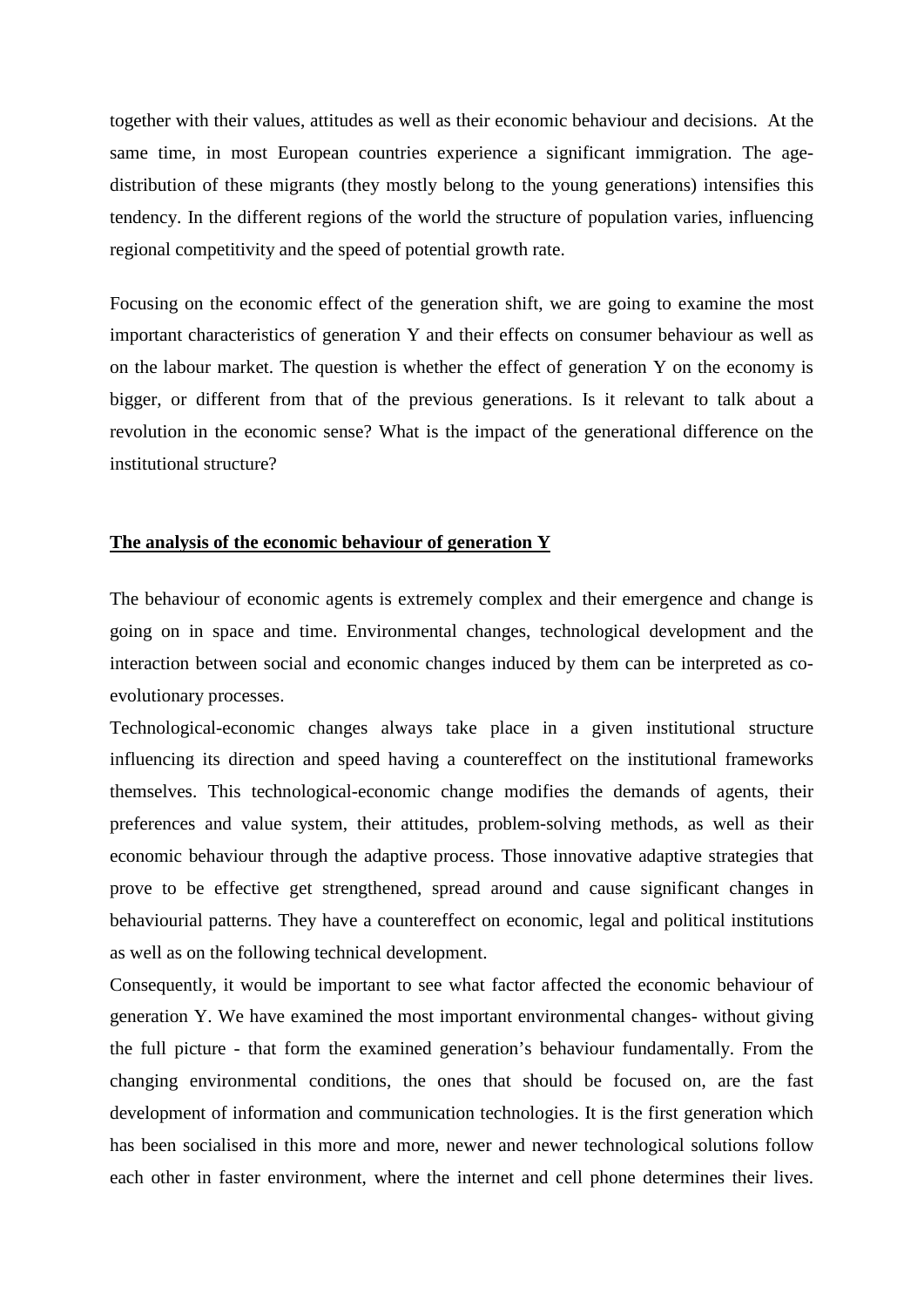together with their values, attitudes as well as their economic behaviour and decisions. At the same time, in most European countries experience a significant immigration. The agedistribution of these migrants (they mostly belong to the young generations) intensifies this tendency. In the different regions of the world the structure of population varies, influencing regional competitivity and the speed of potential growth rate.

Focusing on the economic effect of the generation shift, we are going to examine the most important characteristics of generation Y and their effects on consumer behaviour as well as on the labour market. The question is whether the effect of generation Y on the economy is bigger, or different from that of the previous generations. Is it relevant to talk about a revolution in the economic sense? What is the impact of the generational difference on the institutional structure?

### **The analysis of the economic behaviour of generation Y**

The behaviour of economic agents is extremely complex and their emergence and change is going on in space and time. Environmental changes, technological development and the interaction between social and economic changes induced by them can be interpreted as coevolutionary processes.

Technological-economic changes always take place in a given institutional structure influencing its direction and speed having a countereffect on the institutional frameworks themselves. This technological-economic change modifies the demands of agents, their preferences and value system, their attitudes, problem-solving methods, as well as their economic behaviour through the adaptive process. Those innovative adaptive strategies that prove to be effective get strengthened, spread around and cause significant changes in behaviourial patterns. They have a countereffect on economic, legal and political institutions as well as on the following technical development.

Consequently, it would be important to see what factor affected the economic behaviour of generation Y. We have examined the most important environmental changes- without giving the full picture - that form the examined generation's behaviour fundamentally. From the changing environmental conditions, the ones that should be focused on, are the fast development of information and communication technologies. It is the first generation which has been socialised in this more and more, newer and newer technological solutions follow each other in faster environment, where the internet and cell phone determines their lives.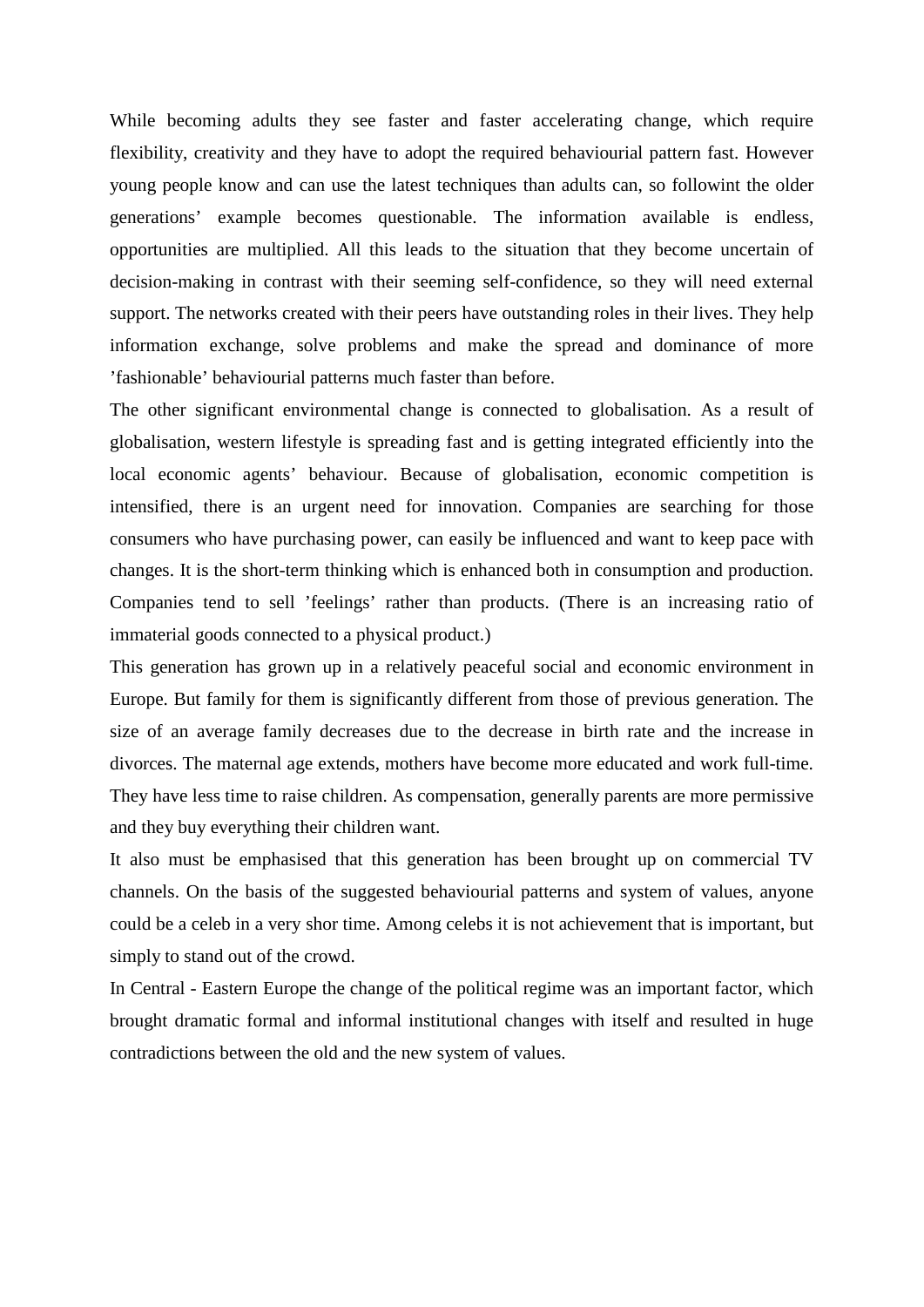While becoming adults they see faster and faster accelerating change, which require flexibility, creativity and they have to adopt the required behaviourial pattern fast. However young people know and can use the latest techniques than adults can, so followint the older generations' example becomes questionable. The information available is endless, opportunities are multiplied. All this leads to the situation that they become uncertain of decision-making in contrast with their seeming self-confidence, so they will need external support. The networks created with their peers have outstanding roles in their lives. They help information exchange, solve problems and make the spread and dominance of more 'fashionable' behaviourial patterns much faster than before.

The other significant environmental change is connected to globalisation. As a result of globalisation, western lifestyle is spreading fast and is getting integrated efficiently into the local economic agents' behaviour. Because of globalisation, economic competition is intensified, there is an urgent need for innovation. Companies are searching for those consumers who have purchasing power, can easily be influenced and want to keep pace with changes. It is the short-term thinking which is enhanced both in consumption and production. Companies tend to sell 'feelings' rather than products. (There is an increasing ratio of immaterial goods connected to a physical product.)

This generation has grown up in a relatively peaceful social and economic environment in Europe. But family for them is significantly different from those of previous generation. The size of an average family decreases due to the decrease in birth rate and the increase in divorces. The maternal age extends, mothers have become more educated and work full-time. They have less time to raise children. As compensation, generally parents are more permissive and they buy everything their children want.

It also must be emphasised that this generation has been brought up on commercial TV channels. On the basis of the suggested behaviourial patterns and system of values, anyone could be a celeb in a very shor time. Among celebs it is not achievement that is important, but simply to stand out of the crowd.

In Central - Eastern Europe the change of the political regime was an important factor, which brought dramatic formal and informal institutional changes with itself and resulted in huge contradictions between the old and the new system of values.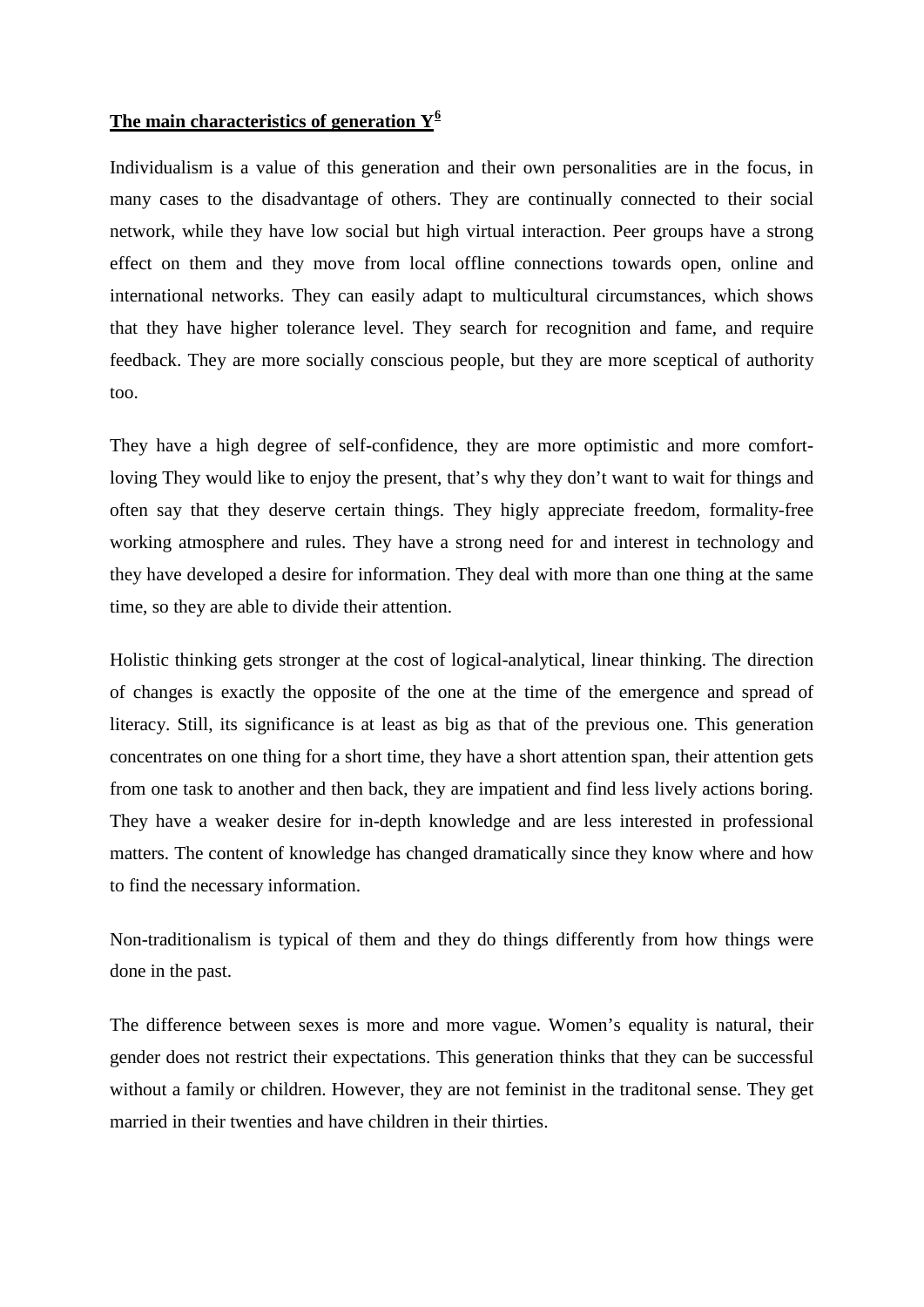# **The main characteristics of generation Y[6](#page-8-5)**

Individualism is a value of this generation and their own personalities are in the focus, in many cases to the disadvantage of others. They are continually connected to their social network, while they have low social but high virtual interaction. Peer groups have a strong effect on them and they move from local offline connections towards open, online and international networks. They can easily adapt to multicultural circumstances, which shows that they have higher tolerance level. They search for recognition and fame, and require feedback. They are more socially conscious people, but they are more sceptical of authority too.

They have a high degree of self-confidence, they are more optimistic and more comfortloving They would like to enjoy the present, that's why they don't want to wait for things and often say that they deserve certain things. They higly appreciate freedom, formality-free working atmosphere and rules. They have a strong need for and interest in technology and they have developed a desire for information. They deal with more than one thing at the same time, so they are able to divide their attention.

Holistic thinking gets stronger at the cost of logical-analytical, linear thinking. The direction of changes is exactly the opposite of the one at the time of the emergence and spread of literacy. Still, its significance is at least as big as that of the previous one. This generation concentrates on one thing for a short time, they have a short attention span, their attention gets from one task to another and then back, they are impatient and find less lively actions boring. They have a weaker desire for in-depth knowledge and are less interested in professional matters. The content of knowledge has changed dramatically since they know where and how to find the necessary information.

Non-traditionalism is typical of them and they do things differently from how things were done in the past.

The difference between sexes is more and more vague. Women's equality is natural, their gender does not restrict their expectations. This generation thinks that they can be successful without a family or children. However, they are not feminist in the traditonal sense. They get married in their twenties and have children in their thirties.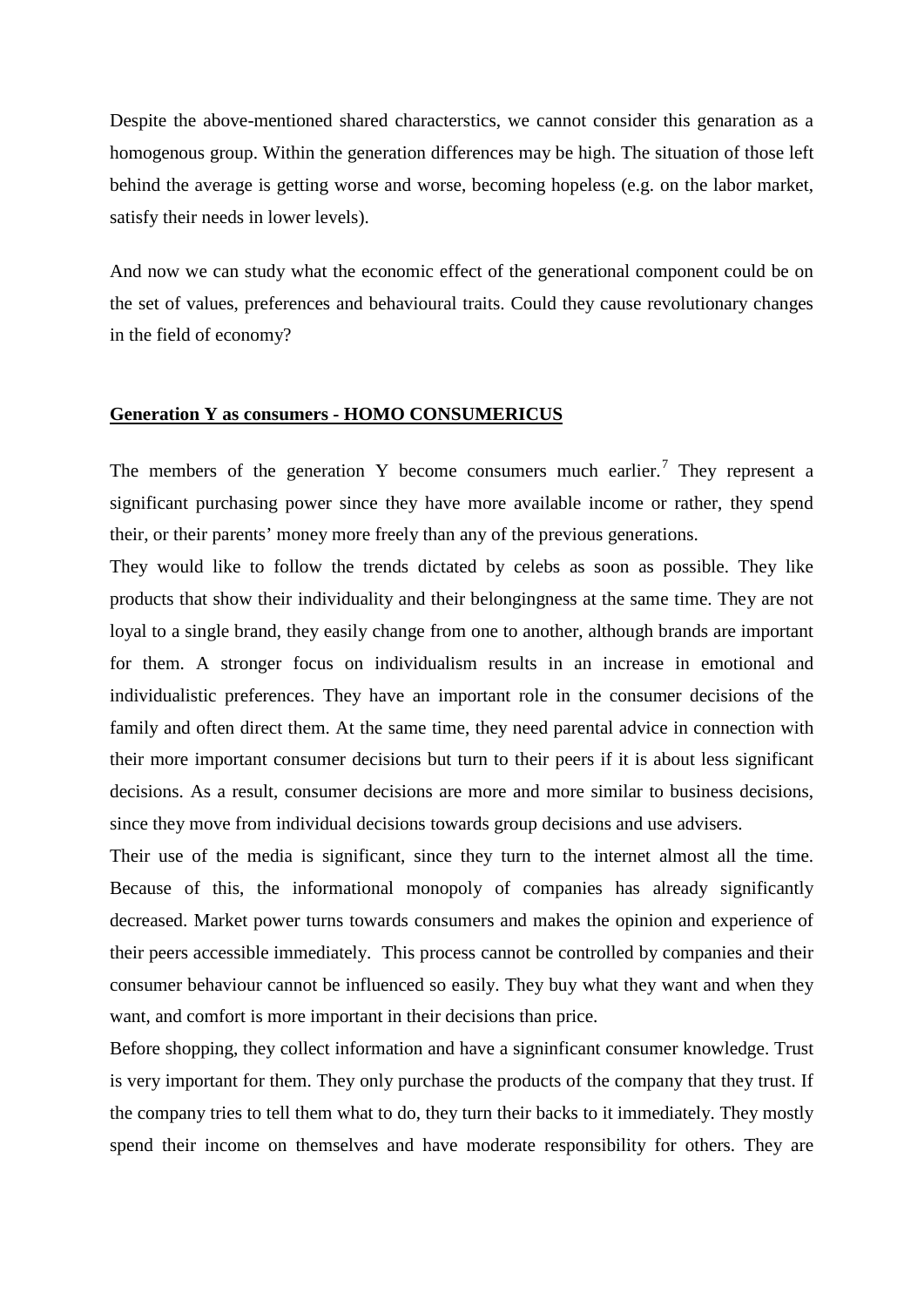Despite the above-mentioned shared characterstics, we cannot consider this genaration as a homogenous group. Within the generation differences may be high. The situation of those left behind the average is getting worse and worse, becoming hopeless (e.g. on the labor market, satisfy their needs in lower levels).

And now we can study what the economic effect of the generational component could be on the set of values, preferences and behavioural traits. Could they cause revolutionary changes in the field of economy?

#### **Generation Y as consumers - HOMO CONSUMERICUS**

The members of the generation Y become consumers much earlier.<sup>[7](#page-8-6)</sup> They represent a significant purchasing power since they have more available income or rather, they spend their, or their parents' money more freely than any of the previous generations.

They would like to follow the trends dictated by celebs as soon as possible. They like products that show their individuality and their belongingness at the same time. They are not loyal to a single brand, they easily change from one to another, although brands are important for them. A stronger focus on individualism results in an increase in emotional and individualistic preferences. They have an important role in the consumer decisions of the family and often direct them. At the same time, they need parental advice in connection with their more important consumer decisions but turn to their peers if it is about less significant decisions. As a result, consumer decisions are more and more similar to business decisions, since they move from individual decisions towards group decisions and use advisers.

Their use of the media is significant, since they turn to the internet almost all the time. Because of this, the informational monopoly of companies has already significantly decreased. Market power turns towards consumers and makes the opinion and experience of their peers accessible immediately. This process cannot be controlled by companies and their consumer behaviour cannot be influenced so easily. They buy what they want and when they want, and comfort is more important in their decisions than price.

Before shopping, they collect information and have a signinficant consumer knowledge. Trust is very important for them. They only purchase the products of the company that they trust. If the company tries to tell them what to do, they turn their backs to it immediately. They mostly spend their income on themselves and have moderate responsibility for others. They are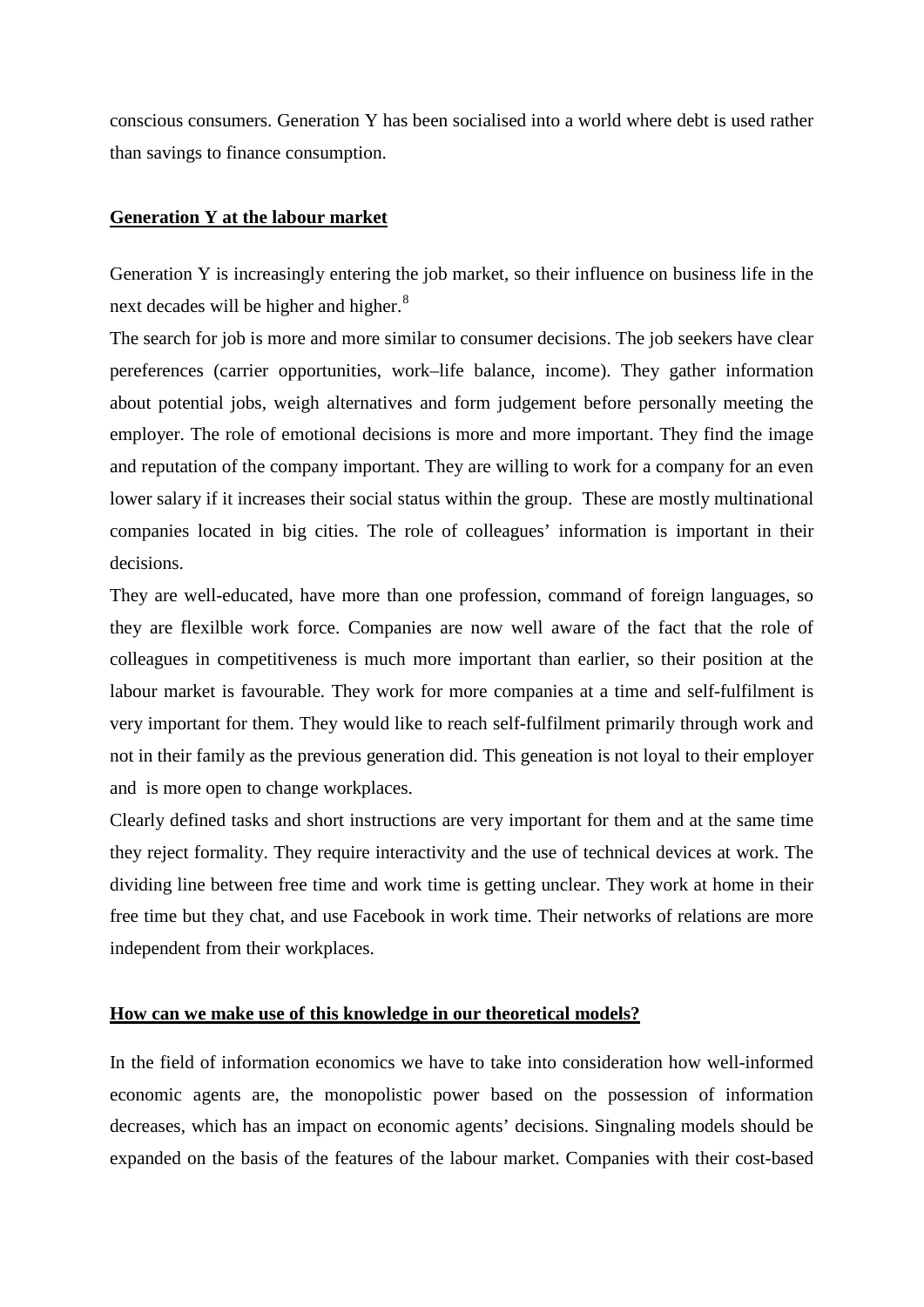conscious consumers. Generation Y has been socialised into a world where debt is used rather than savings to finance consumption.

## **Generation Y at the labour market**

Generation Y is increasingly entering the job market, so their influence on business life in the next decades will be higher and higher.<sup>[8](#page-8-7)</sup>

The search for job is more and more similar to consumer decisions. The job seekers have clear pereferences (carrier opportunities, work–life balance, income). They gather information about potential jobs, weigh alternatives and form judgement before personally meeting the employer. The role of emotional decisions is more and more important. They find the image and reputation of the company important. They are willing to work for a company for an even lower salary if it increases their social status within the group. These are mostly multinational companies located in big cities. The role of colleagues' information is important in their decisions.

They are well-educated, have more than one profession, command of foreign languages, so they are flexilble work force. Companies are now well aware of the fact that the role of colleagues in competitiveness is much more important than earlier, so their position at the labour market is favourable. They work for more companies at a time and self-fulfilment is very important for them. They would like to reach self-fulfilment primarily through work and not in their family as the previous generation did. This geneation is not loyal to their employer and is more open to change workplaces.

Clearly defined tasks and short instructions are very important for them and at the same time they reject formality. They require interactivity and the use of technical devices at work. The dividing line between free time and work time is getting unclear. They work at home in their free time but they chat, and use Facebook in work time. Their networks of relations are more independent from their workplaces.

### **How can we make use of this knowledge in our theoretical models?**

In the field of information economics we have to take into consideration how well-informed economic agents are, the monopolistic power based on the possession of information decreases, which has an impact on economic agents' decisions. Singnaling models should be expanded on the basis of the features of the labour market. Companies with their cost-based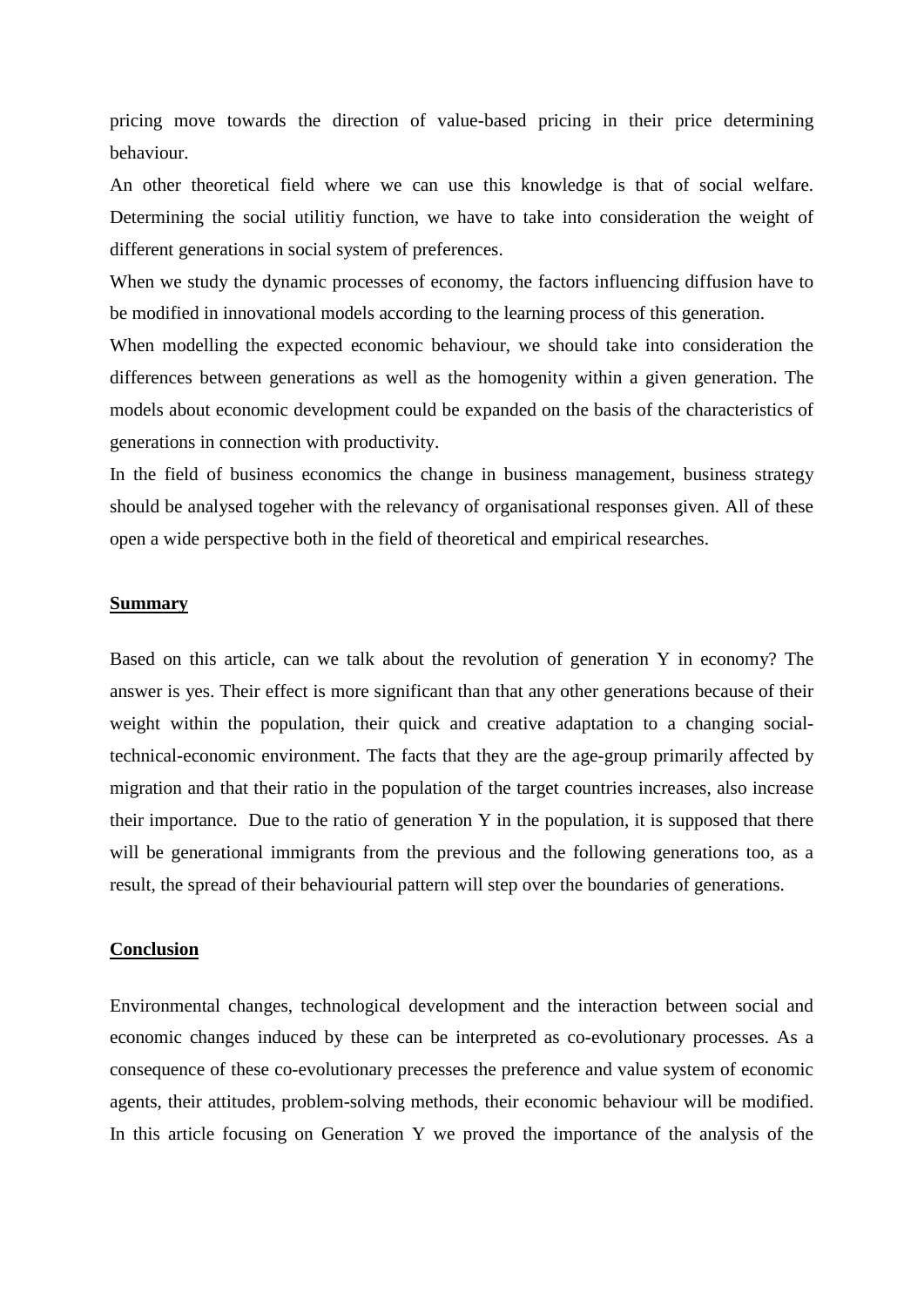pricing move towards the direction of value-based pricing in their price determining behaviour.

An other theoretical field where we can use this knowledge is that of social welfare. Determining the social utilitiy function, we have to take into consideration the weight of different generations in social system of preferences.

When we study the dynamic processes of economy, the factors influencing diffusion have to be modified in innovational models according to the learning process of this generation.

When modelling the expected economic behaviour, we should take into consideration the differences between generations as well as the homogenity within a given generation. The models about economic development could be expanded on the basis of the characteristics of generations in connection with productivity.

In the field of business economics the change in business management, business strategy should be analysed togeher with the relevancy of organisational responses given. All of these open a wide perspective both in the field of theoretical and empirical researches.

### **Summary**

Based on this article, can we talk about the revolution of generation Y in economy? The answer is yes. Their effect is more significant than that any other generations because of their weight within the population, their quick and creative adaptation to a changing socialtechnical-economic environment. The facts that they are the age-group primarily affected by migration and that their ratio in the population of the target countries increases, also increase their importance. Due to the ratio of generation Y in the population, it is supposed that there will be generational immigrants from the previous and the following generations too, as a result, the spread of their behaviourial pattern will step over the boundaries of generations.

#### **Conclusion**

Environmental changes, technological development and the interaction between social and economic changes induced by these can be interpreted as co-evolutionary processes. As a consequence of these co-evolutionary precesses the preference and value system of economic agents, their attitudes, problem-solving methods, their economic behaviour will be modified. In this article focusing on Generation Y we proved the importance of the analysis of the